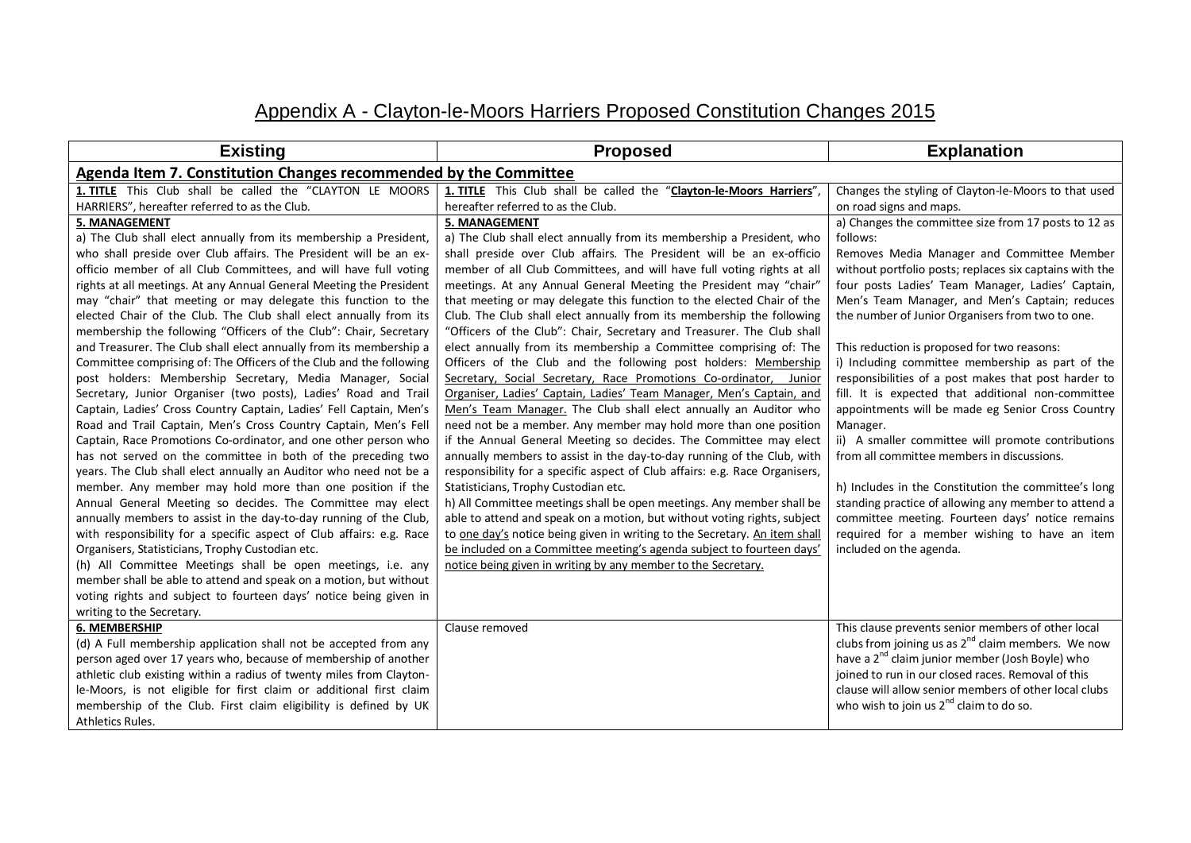## Appendix A - Clayton-le-Moors Harriers Proposed Constitution Changes 2015

| <b>Existing</b>                                                                                                                                                                                                                                                                                                                                                                                                                                                                                                                                                                                                                                                                                                                                                                                                                                                                                                                                                                                                                                                                                                                                                                                                                                                                                                                                                                                                                                                                                                                                                                                                                                                                          | <b>Proposed</b>                                                                                                                                                                                                                                                                                                                                                                                                                                                                                                                                                                                                                                                                                                                                                                                                                                                                                                                                                                                                                                                                                                                                                                                                                                                                                                                                                                                                                                                                                                                                                                                                                   | <b>Explanation</b>                                                                                                                                                                                                                                                                                                                                                                                                                                                                                                                                                                                                                                                                                                                                                                                                                                                                                                                                                         |  |
|------------------------------------------------------------------------------------------------------------------------------------------------------------------------------------------------------------------------------------------------------------------------------------------------------------------------------------------------------------------------------------------------------------------------------------------------------------------------------------------------------------------------------------------------------------------------------------------------------------------------------------------------------------------------------------------------------------------------------------------------------------------------------------------------------------------------------------------------------------------------------------------------------------------------------------------------------------------------------------------------------------------------------------------------------------------------------------------------------------------------------------------------------------------------------------------------------------------------------------------------------------------------------------------------------------------------------------------------------------------------------------------------------------------------------------------------------------------------------------------------------------------------------------------------------------------------------------------------------------------------------------------------------------------------------------------|-----------------------------------------------------------------------------------------------------------------------------------------------------------------------------------------------------------------------------------------------------------------------------------------------------------------------------------------------------------------------------------------------------------------------------------------------------------------------------------------------------------------------------------------------------------------------------------------------------------------------------------------------------------------------------------------------------------------------------------------------------------------------------------------------------------------------------------------------------------------------------------------------------------------------------------------------------------------------------------------------------------------------------------------------------------------------------------------------------------------------------------------------------------------------------------------------------------------------------------------------------------------------------------------------------------------------------------------------------------------------------------------------------------------------------------------------------------------------------------------------------------------------------------------------------------------------------------------------------------------------------------|----------------------------------------------------------------------------------------------------------------------------------------------------------------------------------------------------------------------------------------------------------------------------------------------------------------------------------------------------------------------------------------------------------------------------------------------------------------------------------------------------------------------------------------------------------------------------------------------------------------------------------------------------------------------------------------------------------------------------------------------------------------------------------------------------------------------------------------------------------------------------------------------------------------------------------------------------------------------------|--|
| Agenda Item 7. Constitution Changes recommended by the Committee                                                                                                                                                                                                                                                                                                                                                                                                                                                                                                                                                                                                                                                                                                                                                                                                                                                                                                                                                                                                                                                                                                                                                                                                                                                                                                                                                                                                                                                                                                                                                                                                                         |                                                                                                                                                                                                                                                                                                                                                                                                                                                                                                                                                                                                                                                                                                                                                                                                                                                                                                                                                                                                                                                                                                                                                                                                                                                                                                                                                                                                                                                                                                                                                                                                                                   |                                                                                                                                                                                                                                                                                                                                                                                                                                                                                                                                                                                                                                                                                                                                                                                                                                                                                                                                                                            |  |
| 1. TITLE This Club shall be called the "CLAYTON LE MOORS<br>HARRIERS", hereafter referred to as the Club.                                                                                                                                                                                                                                                                                                                                                                                                                                                                                                                                                                                                                                                                                                                                                                                                                                                                                                                                                                                                                                                                                                                                                                                                                                                                                                                                                                                                                                                                                                                                                                                | 1. TITLE This Club shall be called the "Clayton-le-Moors Harriers"<br>hereafter referred to as the Club.                                                                                                                                                                                                                                                                                                                                                                                                                                                                                                                                                                                                                                                                                                                                                                                                                                                                                                                                                                                                                                                                                                                                                                                                                                                                                                                                                                                                                                                                                                                          | Changes the styling of Clayton-le-Moors to that used<br>on road signs and maps.                                                                                                                                                                                                                                                                                                                                                                                                                                                                                                                                                                                                                                                                                                                                                                                                                                                                                            |  |
| <b>5. MANAGEMENT</b><br>a) The Club shall elect annually from its membership a President,<br>who shall preside over Club affairs. The President will be an ex-<br>officio member of all Club Committees, and will have full voting<br>rights at all meetings. At any Annual General Meeting the President<br>may "chair" that meeting or may delegate this function to the<br>elected Chair of the Club. The Club shall elect annually from its<br>membership the following "Officers of the Club": Chair, Secretary<br>and Treasurer. The Club shall elect annually from its membership a<br>Committee comprising of: The Officers of the Club and the following<br>post holders: Membership Secretary, Media Manager, Social<br>Secretary, Junior Organiser (two posts), Ladies' Road and Trail<br>Captain, Ladies' Cross Country Captain, Ladies' Fell Captain, Men's<br>Road and Trail Captain, Men's Cross Country Captain, Men's Fell<br>Captain, Race Promotions Co-ordinator, and one other person who<br>has not served on the committee in both of the preceding two<br>years. The Club shall elect annually an Auditor who need not be a<br>member. Any member may hold more than one position if the<br>Annual General Meeting so decides. The Committee may elect<br>annually members to assist in the day-to-day running of the Club,<br>with responsibility for a specific aspect of Club affairs: e.g. Race<br>Organisers, Statisticians, Trophy Custodian etc.<br>(h) All Committee Meetings shall be open meetings, i.e. any<br>member shall be able to attend and speak on a motion, but without<br>voting rights and subject to fourteen days' notice being given in | <b>5. MANAGEMENT</b><br>a) The Club shall elect annually from its membership a President, who<br>shall preside over Club affairs. The President will be an ex-officio<br>member of all Club Committees, and will have full voting rights at all<br>meetings. At any Annual General Meeting the President may "chair"<br>that meeting or may delegate this function to the elected Chair of the<br>Club. The Club shall elect annually from its membership the following<br>"Officers of the Club": Chair, Secretary and Treasurer. The Club shall<br>elect annually from its membership a Committee comprising of: The<br>Officers of the Club and the following post holders: Membership<br>Secretary, Social Secretary, Race Promotions Co-ordinator, Junior<br>Organiser, Ladies' Captain, Ladies' Team Manager, Men's Captain, and<br>Men's Team Manager. The Club shall elect annually an Auditor who<br>need not be a member. Any member may hold more than one position<br>if the Annual General Meeting so decides. The Committee may elect<br>annually members to assist in the day-to-day running of the Club, with<br>responsibility for a specific aspect of Club affairs: e.g. Race Organisers,<br>Statisticians, Trophy Custodian etc.<br>h) All Committee meetings shall be open meetings. Any member shall be<br>able to attend and speak on a motion, but without voting rights, subject<br>to one day's notice being given in writing to the Secretary. An item shall<br>be included on a Committee meeting's agenda subject to fourteen days'<br>notice being given in writing by any member to the Secretary. | a) Changes the committee size from 17 posts to 12 as<br>follows:<br>Removes Media Manager and Committee Member<br>without portfolio posts; replaces six captains with the<br>four posts Ladies' Team Manager, Ladies' Captain,<br>Men's Team Manager, and Men's Captain; reduces<br>the number of Junior Organisers from two to one.<br>This reduction is proposed for two reasons:<br>i) Including committee membership as part of the<br>responsibilities of a post makes that post harder to<br>fill. It is expected that additional non-committee<br>appointments will be made eg Senior Cross Country<br>Manager.<br>ii) A smaller committee will promote contributions<br>from all committee members in discussions.<br>h) Includes in the Constitution the committee's long<br>standing practice of allowing any member to attend a<br>committee meeting. Fourteen days' notice remains<br>required for a member wishing to have an item<br>included on the agenda. |  |
| writing to the Secretary.<br>6. MEMBERSHIP                                                                                                                                                                                                                                                                                                                                                                                                                                                                                                                                                                                                                                                                                                                                                                                                                                                                                                                                                                                                                                                                                                                                                                                                                                                                                                                                                                                                                                                                                                                                                                                                                                               | Clause removed                                                                                                                                                                                                                                                                                                                                                                                                                                                                                                                                                                                                                                                                                                                                                                                                                                                                                                                                                                                                                                                                                                                                                                                                                                                                                                                                                                                                                                                                                                                                                                                                                    | This clause prevents senior members of other local                                                                                                                                                                                                                                                                                                                                                                                                                                                                                                                                                                                                                                                                                                                                                                                                                                                                                                                         |  |
| (d) A Full membership application shall not be accepted from any<br>person aged over 17 years who, because of membership of another<br>athletic club existing within a radius of twenty miles from Clayton-<br>le-Moors, is not eligible for first claim or additional first claim<br>membership of the Club. First claim eligibility is defined by UK<br>Athletics Rules.                                                                                                                                                                                                                                                                                                                                                                                                                                                                                                                                                                                                                                                                                                                                                                                                                                                                                                                                                                                                                                                                                                                                                                                                                                                                                                               |                                                                                                                                                                                                                                                                                                                                                                                                                                                                                                                                                                                                                                                                                                                                                                                                                                                                                                                                                                                                                                                                                                                                                                                                                                                                                                                                                                                                                                                                                                                                                                                                                                   | clubs from joining us as $2^{nd}$ claim members. We now<br>have a 2 <sup>nd</sup> claim junior member (Josh Boyle) who<br>joined to run in our closed races. Removal of this<br>clause will allow senior members of other local clubs<br>who wish to join us $2^{nd}$ claim to do so.                                                                                                                                                                                                                                                                                                                                                                                                                                                                                                                                                                                                                                                                                      |  |